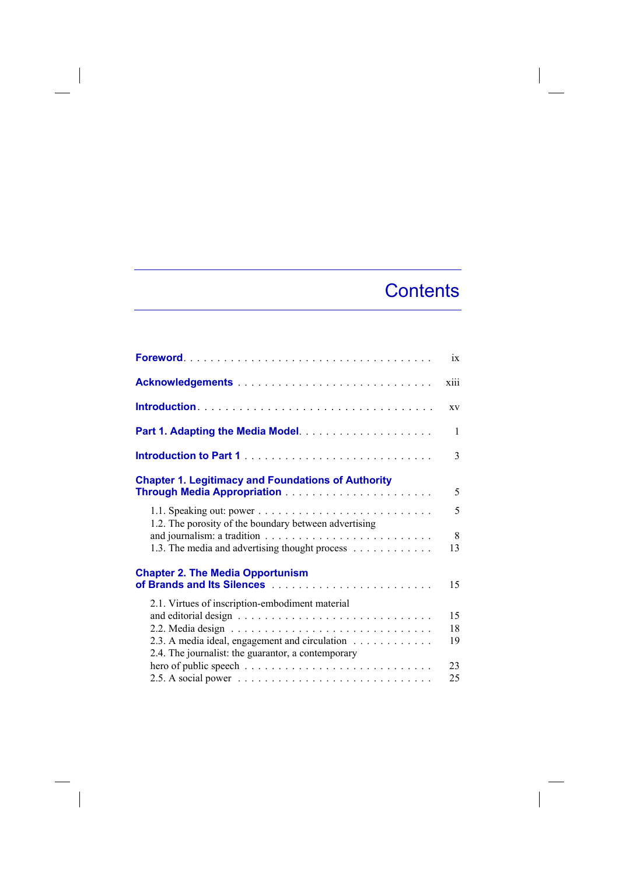## **Contents**

 $\overline{\phantom{a}}$ 

|                                                                                                      | ix     |
|------------------------------------------------------------------------------------------------------|--------|
|                                                                                                      | xiii   |
|                                                                                                      | XV     |
|                                                                                                      | 1      |
|                                                                                                      | 3      |
| <b>Chapter 1. Legitimacy and Foundations of Authority</b>                                            | 5      |
| 1.2. The porosity of the boundary between advertising                                                | 5<br>8 |
| 1.3. The media and advertising thought process                                                       | 13     |
| <b>Chapter 2. The Media Opportunism</b>                                                              | 15     |
| 2.1. Virtues of inscription-embodiment material                                                      |        |
|                                                                                                      | 15     |
|                                                                                                      | 18     |
| 2.3. A media ideal, engagement and circulation<br>2.4. The journalist: the guarantor, a contemporary | 19     |
|                                                                                                      | 23     |
|                                                                                                      | 25     |
|                                                                                                      |        |

 $\overline{\phantom{a}}$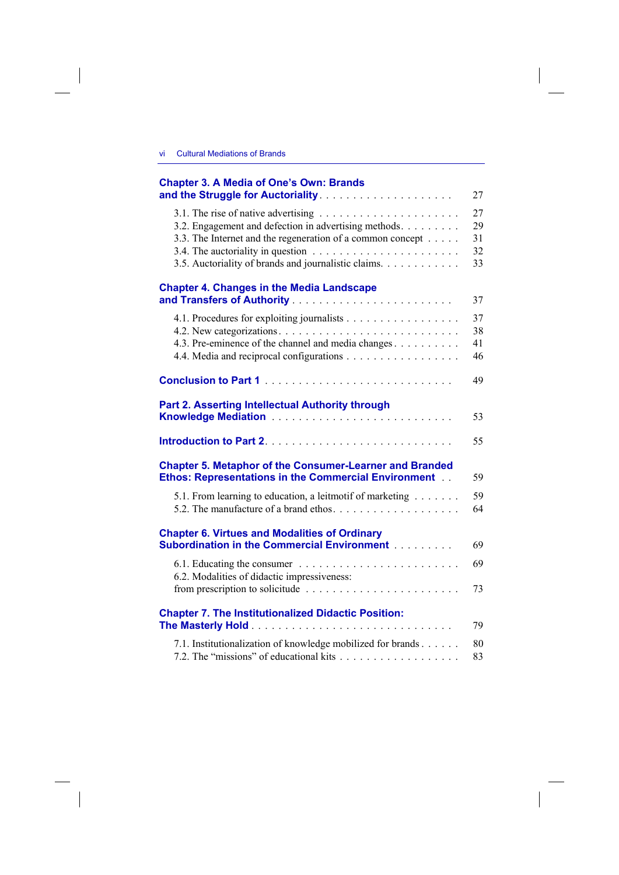$\overline{\phantom{a}}$ 

| <b>Chapter 3. A Media of One's Own: Brands</b>                                                                                                                                                                                                                        | 27                         |
|-----------------------------------------------------------------------------------------------------------------------------------------------------------------------------------------------------------------------------------------------------------------------|----------------------------|
| 3.1. The rise of native advertising $\ldots \ldots \ldots \ldots \ldots \ldots \ldots$<br>3.2. Engagement and defection in advertising methods.<br>3.3. The Internet and the regeneration of a common concept<br>3.5. Auctoriality of brands and journalistic claims. | 27<br>29<br>31<br>32<br>33 |
| <b>Chapter 4. Changes in the Media Landscape</b>                                                                                                                                                                                                                      | 37                         |
| 4.1. Procedures for exploiting journalists<br>4.3. Pre-eminence of the channel and media changes                                                                                                                                                                      | 37<br>38<br>41<br>46       |
| Conclusion to Part 1                                                                                                                                                                                                                                                  | 49                         |
| <b>Part 2. Asserting Intellectual Authority through</b>                                                                                                                                                                                                               | 53                         |
|                                                                                                                                                                                                                                                                       | 55                         |
| <b>Chapter 5. Metaphor of the Consumer-Learner and Branded</b><br><b>Ethos: Representations in the Commercial Environment</b>                                                                                                                                         | 59                         |
| 5.1. From learning to education, a leitmotif of marketing<br>5.2. The manufacture of a brand ethos                                                                                                                                                                    | 59<br>64                   |
| <b>Chapter 6. Virtues and Modalities of Ordinary</b><br><b>Subordination in the Commercial Environment [1] All Subordination in the Commercial Environment [1] All Subset</b>                                                                                         | 69                         |
| 6.2. Modalities of didactic impressiveness:<br>from prescription to solicitude                                                                                                                                                                                        | 69<br>73                   |
| <b>Chapter 7. The Institutionalized Didactic Position:</b>                                                                                                                                                                                                            | 79                         |
| 7.1. Institutionalization of knowledge mobilized for brands                                                                                                                                                                                                           | 80<br>83                   |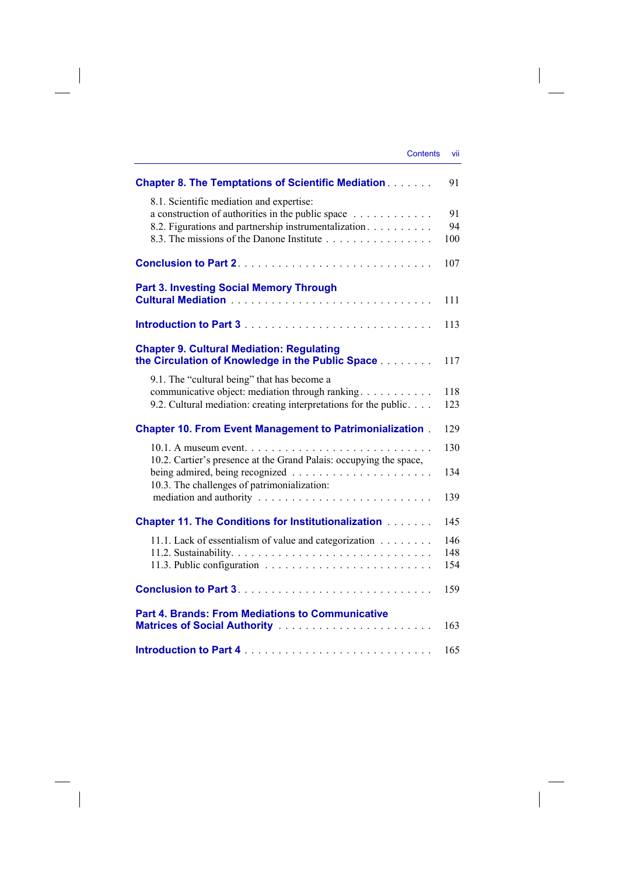| <b>Contents</b> | VII |
|-----------------|-----|
|                 |     |

| <b>Chapter 8. The Temptations of Scientific Mediation</b>                         | 91  |
|-----------------------------------------------------------------------------------|-----|
| 8.1. Scientific mediation and expertise:                                          |     |
| a construction of authorities in the public space $\dots \dots \dots$             | 91  |
| 8.2. Figurations and partnership instrumentalization.                             | 94  |
| 8.3. The missions of the Danone Institute                                         | 100 |
|                                                                                   |     |
|                                                                                   | 107 |
| <b>Part 3. Investing Social Memory Through</b>                                    |     |
|                                                                                   | 111 |
|                                                                                   |     |
|                                                                                   | 113 |
| <b>Chapter 9. Cultural Mediation: Regulating</b>                                  |     |
| the Circulation of Knowledge in the Public Space                                  | 117 |
|                                                                                   |     |
| 9.1. The "cultural being" that has become a                                       |     |
| communicative object: mediation through ranking                                   | 118 |
| 9.2. Cultural mediation: creating interpretations for the public.                 | 123 |
| <b>Chapter 10. From Event Management to Patrimonialization.</b>                   | 129 |
|                                                                                   | 130 |
| 10.2. Cartier's presence at the Grand Palais: occupying the space,                |     |
|                                                                                   | 134 |
| 10.3. The challenges of patrimonialization:                                       |     |
| mediation and authority $\ldots \ldots \ldots \ldots \ldots \ldots \ldots \ldots$ | 139 |
|                                                                                   |     |
| <b>Chapter 11. The Conditions for Institutionalization [11] Linux</b>             | 145 |
| 11.1. Lack of essentialism of value and categorization                            | 146 |
|                                                                                   | 148 |
|                                                                                   | 154 |
|                                                                                   | 159 |
|                                                                                   |     |
| <b>Part 4. Brands: From Mediations to Communicative</b>                           |     |
|                                                                                   | 163 |
|                                                                                   |     |
|                                                                                   | 165 |